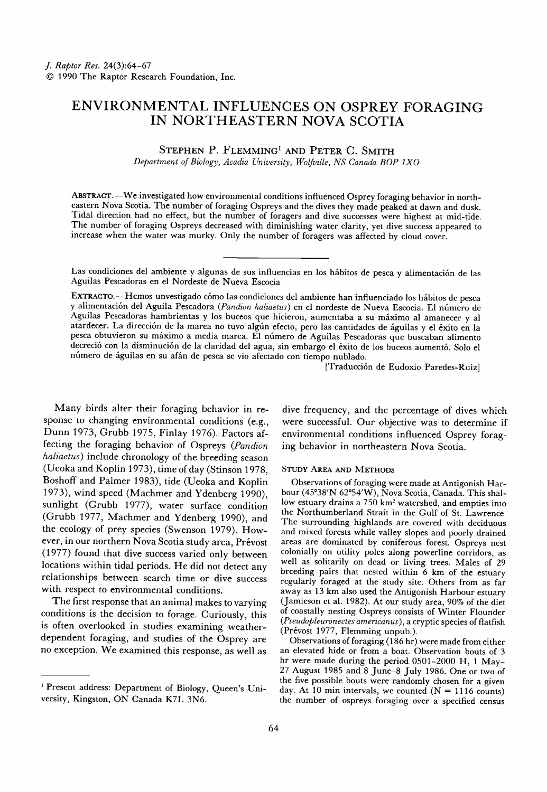# **ENVIRONMENTAL INFLUENCES ON OSPREY FORAGING IN NORTHEASTERN NOVA SCOTIA**

#### STEPHEN P. FLEMMING<sup>1</sup> AND PETER C. SMITH

**Department of Biology, Acadia University, Wolfville, NS Canada BOP IXO** 

ABSTRACT.-We investigated how environmental conditions influenced Osprey foraging behavior in north**eastern Nova Scotia. The number of foraging Ospreys and the dives they made peaked at dawn and dusk. Tidal direction had no effect, but the number of foragers and dive successes were highest at mid-tide. The number of foraging Ospreys decreased with diminishing water clarity, yet dive success appeared to increase when the water was murky. Only the number of foragers was affected by cloud cover.** 

Las condiciones del ambiente y algunas de sus influencias en los hábitos de pesca y alimentación de las **Aguilas Pescadoras en el Nordeste de Nueva Escocia** 

EXTRACTO.--Hemos unvestigado cómo las condiciones del ambiente han influenciado los hábitos de pesca y alimentación del Aguila Pescadora (Pandion haliaetus) en el nordeste de Nueva Escocia. El número de Aguilas Pescadoras hambrientas y los buceos que hicieron, aumentaba a su máximo al amanecer y al atardecer. La dirección de la marea no tuvo algún efecto, pero las cantidades de águilas y el éxito en la **pesca obtuvieron su mfiximo amedia marea. E1 nfimero de Aguilas Pescadoras que buscaban alimento**  decreció con la disminución de la claridad del agua, sin embargo el éxito de los buceos aumentó. Solo el número de águilas en su afán de pesca se vio afectado con tiempo nublado.

**[Traducci6n de Eudoxio Paredes-Ruiz]** 

**Many birds alter their foraging behavior in response to changing environmental conditions (e.g., Dunn 1973, Grubb 1975, Finlay 1976). Factors affecting the foraging behavior of Ospreys (Pandion**  haliaetus) include chronology of the breeding season **(Ueoka and Koplin 1973), time of day (Stinson 1978, Boshoff and Palmer 1983), tide (Ueoka and Koplin 1973), wind speed (Machmer and Ydenberg 1990), sunlight (Grubb 1977), water surface condition (Grubb 1977, Machmer and Ydenberg 1990), and the ecology of prey species (Swenson 1979). How**ever, in our northern Nova Scotia study area, Prévost **(1977) found that dive success varied only between locations within tidal periods. He did not detect any relationships between search time or dive success with respect to environmental conditions.** 

**The first response that an animal makes to varying conditions ithe decision to forage. Curiously, this**  is often overlooked in studies examining weather**dependent foraging, and studies of the Osprey are no exception. We examined this response, as well as**  **dive frequency, and the percentage of dives which were successful. Our objective was to determine if environmental conditions influenced Osprey foraging behavior in northeastern Nova Scotia.** 

#### **STUDY AREA AND METHODS**

**Observations of foraging wcrc made at Antigonish Har**bour (45°38'N 62°54'W), Nova Scotia, Canada. This shallow estuary drains a 750 km<sup>2</sup> watershed, and empties into **the Northumberland Strait in the Gulf of St. Lawrence The surrounding highlands arc covered with deciduous and mixed forests while valley slopes and poorly drained areas arc dominated by coniferous forest. Ospreys nest colonially on utility poles along powerlinc corridors, as well as solitarily on dead or living trees. Males of 29 breeding pairs that nested within 6 km of the estuary regularly foraged at the study site. Others from as far away as 13 km also used the Antigonish Harbour estuary (Jamieson ctal. 1982). At our study area, 90% of the diet of coastally nesting Ospreys consists of Winter Flounder (Pseudopleuronectes amricanus), a cryptic species of flatfish (Prévost 1977, Flemming unpub.).** 

Observations of foraging (186 hr) were made from either **an elevated hide or from a boat. Observation bouts of 3 hr wcrc made during the period 0501-2000 H, 1 May-27 August 1985 and 8 June-8 July 1986. One or two of the five possible bouts were randomly chosen for a given**  day. At 10 min intervals, we counted  $(N = 1116 \text{ counts})$ **the number of ospreys foraging over a specified census** 

<sup>&</sup>lt;sup>1</sup> Present address: Department of Biology, Queen's Uni**versity, Kingston, ON Canada K7L 3N6.**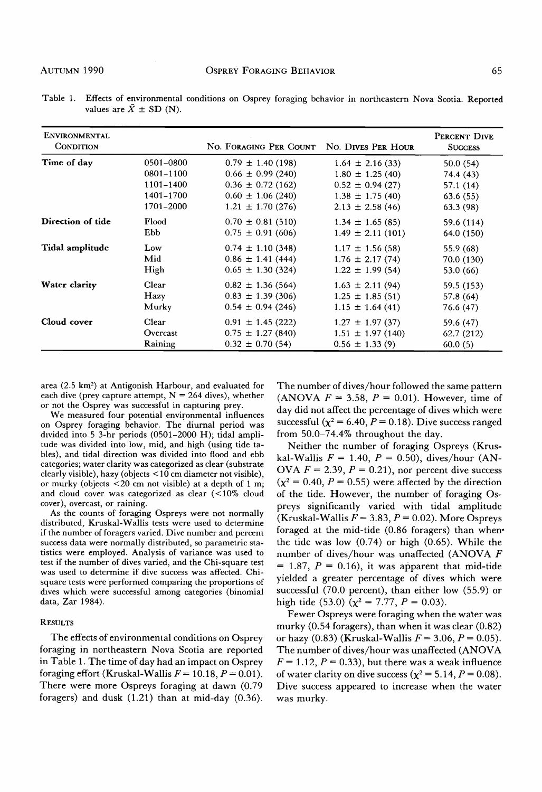| <b>ENVIRONMENTAL</b><br><b>CONDITION</b> |           | NO. FORAGING PER COUNT | NO. DIVES PER HOUR   | PERCENT DIVE<br><b>SUCCESS</b> |
|------------------------------------------|-----------|------------------------|----------------------|--------------------------------|
| Time of day                              | 0501-0800 | $0.79 \pm 1.40$ (198)  | $1.64 \pm 2.16(33)$  | 50.0(54)                       |
|                                          | 0801-1100 | $0.66 \pm 0.99$ (240)  | $1.80 \pm 1.25(40)$  | 74.4 (43)                      |
|                                          | 1101-1400 | $0.36 \pm 0.72$ (162)  | $0.52 \pm 0.94(27)$  | 57.1(14)                       |
|                                          | 1401-1700 | $0.60 \pm 1.06$ (240)  | $1.38 \pm 1.75(40)$  | 63.6(55)                       |
|                                          | 1701-2000 | $1.21 \pm 1.70$ (276)  | $2.13 \pm 2.58$ (46) | 63.3(98)                       |
| Direction of tide                        | Flood     | $0.70 \pm 0.81$ (510)  | $1.34 \pm 1.65(85)$  | 59.6 (114)                     |
|                                          | Ebb       | $0.75 \pm 0.91$ (606)  | $1.49 \pm 2.11(101)$ | 64.0 (150)                     |
| Tidal amplitude                          | Low       | $0.74 \pm 1.10$ (348)  | $1.17 \pm 1.56(58)$  | 55.9 (68)                      |
|                                          | Mid       | $0.86 \pm 1.41$ (444)  | $1.76 \pm 2.17(74)$  | 70.0 (130)                     |
|                                          | High      | $0.65 \pm 1.30$ (324)  | $1.22 \pm 1.99(54)$  | 53.0 (66)                      |
| Water clarity                            | Clear     | $0.82 \pm 1.36$ (564)  | $1.63 \pm 2.11(94)$  | 59.5 (153)                     |
|                                          | Hazy      | $0.83 \pm 1.39$ (306)  | $1.25 \pm 1.85(51)$  | 57.8 (64)                      |
|                                          | Murky     | $0.54 \pm 0.94$ (246)  | $1.15 \pm 1.64(41)$  | 76.6 (47)                      |
| Cloud cover                              | Clear     | $0.91 \pm 1.45$ (222)  | $1.27 \pm 1.97(37)$  | 59.6 (47)                      |
|                                          | Overcast  | $0.75 \pm 1.27$ (840)  | $1.51 \pm 1.97(140)$ | 62.7 (212)                     |
|                                          | Raining   | $0.32 \pm 0.70$ (54)   | $0.56 \pm 1.33(9)$   | 60.0(5)                        |

**Table 1. Effects of environmental conditions on Osprey foraging behavior in northeastern Nova Scotia. Reported**  values are  $\bar{X} \pm SD$  (N).

area (2.5 km<sup>2</sup>) at Antigonish Harbour, and evaluated for **each dive (prey capture attempt, N = 264 dives), whether**  or not the Osprey was successful in capturing prey.

**We measured four potential environmental influences on Osprey foraging behavior. The diurnal period was divided into 5 3-hr periods (0501-2000 H); tidal amplitude was divided into low, mid, and high (using tide tables), and tidal direction was divided into flood and ebb categories; water clarity was categorized as clear (substrate clearly visible), hazy (objects < 10 cm diameter not visible), or murky (objects <20 cm not visible) at a depth of 1 m; and cloud cover was categorized as clear (<10% cloud cover), overcast, or raining.** 

**As the counts of foraging Ospreys were not normally distributed, Kruskal-Wallis tests were used to determine if the number of foragers varied. Dive number and percent success data were normally distributed, so parametric statistics were employed. Analysis of variance was used to test if the number of dives varied, and the Chi-square test was used to determine if dive success was affected. Chisquare tests were performed comparing the proportions of**  dives which were successful among categories (binomial **data, Zar 1984).** 

#### **RESULTS**

**The effects of environmental conditions on Osprey foraging in northeastern Nova Scotia are reported in Table 1. The time of day had an impact on Osprey**  foraging effort (Kruskal-Wallis  $F = 10.18$ ,  $P = 0.01$ ). **There were more Ospreys foraging at dawn (0.79 foragers) and dusk (1.21) than at mid-day (0.36).**  **The number of dives/hour followed the same pattern**  (ANOVA  $F = 3.58$ ,  $P = 0.01$ ). However, time of **day did not affect the percentage of dives which were**  successful  $(\chi^2 = 6.40, P = 0.18)$ . Dive success ranged **from 50.0-74.4% throughout the day.** 

**Neither the number of foraging Ospreys (Krus**kal-Wallis  $F = 1.40$ ,  $P = 0.50$ ), dives/hour (AN-OVA  $F = 2.39$ ,  $P = 0.21$ ), nor percent dive success  $(\chi^2 = 0.40, P = 0.55)$  were affected by the direction **of the tide. However, the number of foraging Ospreys significantly varied with tidal amplitude**   $(Kruskal-Wallis F = 3.83, P = 0.02)$ . More Ospreys **foraged at the mid-tide (0.86 foragers) than whenthe tide was low (0.74) or high (0.65). While the number of dives/hour was unaffected (ANOVA F**   $= 1.87, P = 0.16$ , it was apparent that mid-tide **yielded a greater percentage of dives which were successful (70.0 percent), than either low (55.9) or**  high tide (53.0)  $(\chi^2 = 7.77, P = 0.03)$ .

**Fewer Ospreys were foraging when the water was murky (0.54 foragers), than when it was clear (0.82)**  or hazy  $(0.83)$  (Kruskal-Wallis  $F = 3.06$ ,  $P = 0.05$ ). **The number of dives/hour was unaffected (ANOVA**   $F = 1.12, P = 0.33$ , but there was a weak influence of water clarity on dive success  $(\chi^2 = 5.14, P = 0.08)$ . **Dive success appeared to increase when the water was murky.**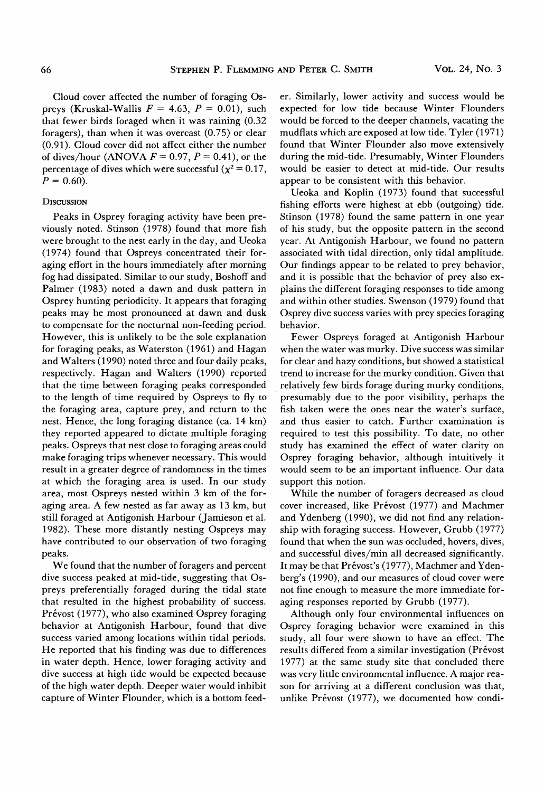**Cloud cover affected the number of foraging Os**preys (Kruskal-Wallis  $F = 4.63$ ,  $P = 0.01$ ), such **that fewer birds foraged when it was raining (0.32 foragers), than when it was overcast (0.75) or clear (0.91). Cloud cover did not affect either the number**  of dives/hour (ANOVA  $F = 0.97$ ,  $P = 0.41$ ), or the **percentage of dives which were successful (** $\chi^2 = 0.17$ **)**  $P = 0.60$ .

## **DISCUSSION**

**Peaks in Osprey foraging activity have been previously noted. Stinson (1978) found that more fish were brought to the nest early in the day, and Ueoka (1974) found that Ospreys concentrated their foraging effort in the hours immediately after morning fog had dissipated. Similar to our study, Boshoff and Palmer (1983) noted a dawn and dusk pattern in Osprey hunting periodicity. It appears that foraging peaks may be most pronounced at dawn and dusk to compensate for the nocturnal non-feeding period. However, this is unlikely to be the sole explanation for foraging peaks, as Waterston (1961) and Hagan and Walters (1990) noted three and four daily peaks, respectively. Hagan and Walters (1990) reported that the time between foraging peaks corresponded to the length of time required by Ospreys to fly to the foraging area, capture prey, and return to the nest. Hence, the long foraging distance (ca. 14 km) they reported appeared to dictate multiple foraging peaks. Ospreys that nest close to foraging areas could make foraging trips whenever necessary. This would result in a greater degree of randomness in the times at which the foraging area is used. In our study area, most Ospreys nested within 3 km of the foraging area. A few nested as far away as 13 km, but still foraged at Antigonish Harbour (Jamieson et al. 1982). These more distantly nesting Ospreys may have contributed to our observation of two foraging peaks.** 

**We found that the number of foragers and percent dive success peaked at mid-tide, suggesting that Ospreys preferentially foraged during the tidal state that resulted in the highest probability of success.**  Prévost (1977), who also examined Osprey foraging **behavior at Antigonish Harbour, found that dive success varied among locations within tidal periods. He reported that his finding was due to differences in water depth. Hence, lower foraging activity and dive success at high tide would be expected because of the high water depth. Deeper water would inhibit capture of Winter Flounder, which is a bottom feed-** **er. Similarly, lower activity and success would be expected for low tide because Winter Flounders would be forced to the deeper channels, vacating the mudflats which are exposed at low tide. Tyler (1971) found that Winter Flounder also move extensively during the mid-tide. Presumably, Winter Flounders would be easier to detect at mid-tide. Our results appear to be consistent with this behavior.** 

**Ueoka and Koplin (1973) found that successful fishing efforts were highest at ebb (outgoing) tide. Stinson (1978) found the same pattern in one year of his study, but the opposite pattern in the second year. At Antigonish Harbour, we found no pattern associated with tidal direction, only tidal amplitude. Our findings appear to be related to prey behavior, and it is possible that the behavior of prey also explains the different foraging responses to tide among and within other studies. Swenson (1979) found that Osprey dive success varies with prey species foraging behavior.** 

**Fewer Ospreys foraged at Antigonish Harbour when the water was murky. Dive success was similar for clear and hazy conditions, but showed a statistical trend to increase for the murky condition. Given that relatively few birds forage during murky conditions, presumably due to the poor visibility, perhaps the fish taken were the ones near the water's surface, and thus easier to catch. Further examination is required to test this possibility. To date, no other study has examined the effect of water clarity on Osprey foraging behavior, although intuitively it would seem to be an important influence. Our data support this notion.** 

**While the number of foragers decreased as cloud**  cover increased, like Prévost (1977) and Machmer **and Ydenberg (1990), we did not find any relationship with foraging success. However, Grubb (1977) found that when the sun was occluded, hovers, dives, and successful dives/min all decreased significantly.**  It may be that Prévost's (1977), Machmer and Yden**berg's (1990), and our measures of cloud cover were not fine enough to measure the more immediate foraging responses reported by Grubb (1977).** 

**Although only four environmental influences on Osprey foraging behavior were examined in this study, all four were shown to have an effect. The**  results differed from a similar investigation (Prévost **1977) at the same study site that concluded there was very little environmental influence. A major reason for arriving at a different conclusion was that,**  unlike Prévost (1977), we documented how condi